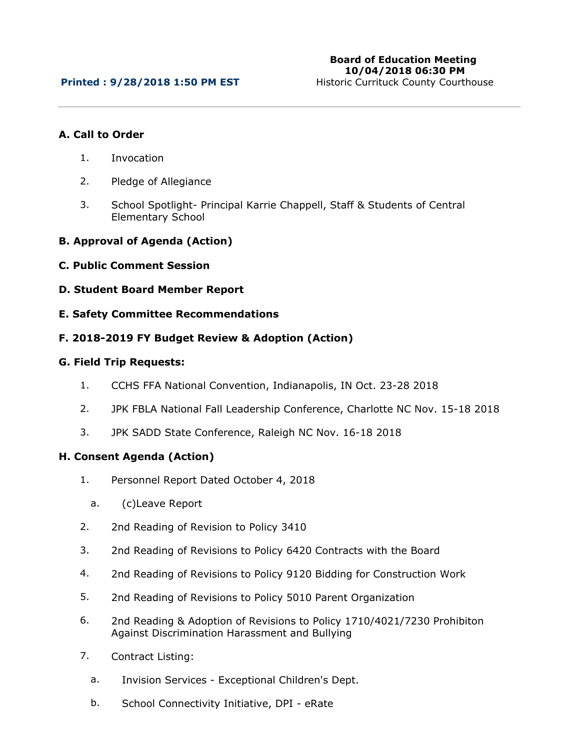## **A. Call to Order**

- 1. Invocation
- 2. Pledge of Allegiance
- 3. School Spotlight- Principal Karrie Chappell, Staff & Students of Central Elementary School
- **B. Approval of Agenda (Action)**
- **C. Public Comment Session**
- **D. Student Board Member Report**
- **E. Safety Committee Recommendations**

## **F. 2018-2019 FY Budget Review & Adoption (Action)**

## **G. Field Trip Requests:**

- 1. CCHS FFA National Convention, Indianapolis, IN Oct. 23-28 2018
- 2. JPK FBLA National Fall Leadership Conference, Charlotte NC Nov. 15-18 2018
- 3. JPK SADD State Conference, Raleigh NC Nov. 16-18 2018

#### **H. Consent Agenda (Action)**

- 1. Personnel Report Dated October 4, 2018
	- a. (c)Leave Report
- 2. 2nd Reading of Revision to Policy 3410
- 3. 2nd Reading of Revisions to Policy 6420 Contracts with the Board
- 4. 2nd Reading of Revisions to Policy 9120 Bidding for Construction Work
- 5. 2nd Reading of Revisions to Policy 5010 Parent Organization
- 6. 2nd Reading & Adoption of Revisions to Policy 1710/4021/7230 Prohibiton Against Discrimination Harassment and Bullying
- 7. Contract Listing:
	- a. Invision Services Exceptional Children's Dept.
	- b. School Connectivity Initiative, DPI eRate